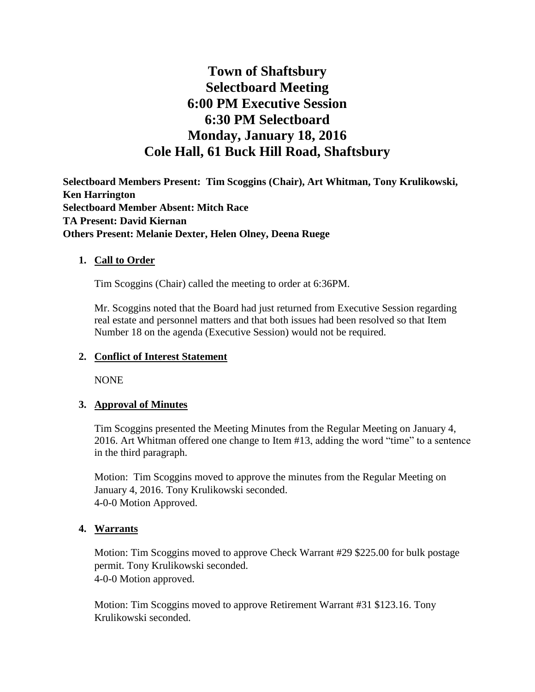# **Town of Shaftsbury Selectboard Meeting 6:00 PM Executive Session 6:30 PM Selectboard Monday, January 18, 2016 Cole Hall, 61 Buck Hill Road, Shaftsbury**

**Selectboard Members Present: Tim Scoggins (Chair), Art Whitman, Tony Krulikowski, Ken Harrington Selectboard Member Absent: Mitch Race TA Present: David Kiernan Others Present: Melanie Dexter, Helen Olney, Deena Ruege**

## **1. Call to Order**

Tim Scoggins (Chair) called the meeting to order at 6:36PM.

Mr. Scoggins noted that the Board had just returned from Executive Session regarding real estate and personnel matters and that both issues had been resolved so that Item Number 18 on the agenda (Executive Session) would not be required.

#### **2. Conflict of Interest Statement**

NONE

#### **3. Approval of Minutes**

Tim Scoggins presented the Meeting Minutes from the Regular Meeting on January 4, 2016. Art Whitman offered one change to Item #13, adding the word "time" to a sentence in the third paragraph.

Motion: Tim Scoggins moved to approve the minutes from the Regular Meeting on January 4, 2016. Tony Krulikowski seconded. 4-0-0 Motion Approved.

#### **4. Warrants**

Motion: Tim Scoggins moved to approve Check Warrant #29 \$225.00 for bulk postage permit. Tony Krulikowski seconded. 4-0-0 Motion approved.

Motion: Tim Scoggins moved to approve Retirement Warrant #31 \$123.16. Tony Krulikowski seconded.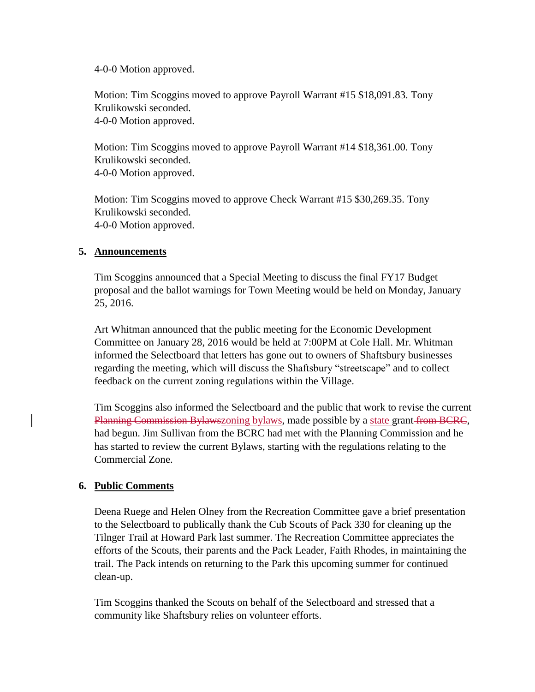4-0-0 Motion approved.

Motion: Tim Scoggins moved to approve Payroll Warrant #15 \$18,091.83. Tony Krulikowski seconded. 4-0-0 Motion approved.

Motion: Tim Scoggins moved to approve Payroll Warrant #14 \$18,361.00. Tony Krulikowski seconded. 4-0-0 Motion approved.

Motion: Tim Scoggins moved to approve Check Warrant #15 \$30,269.35. Tony Krulikowski seconded. 4-0-0 Motion approved.

## **5. Announcements**

Tim Scoggins announced that a Special Meeting to discuss the final FY17 Budget proposal and the ballot warnings for Town Meeting would be held on Monday, January 25, 2016.

Art Whitman announced that the public meeting for the Economic Development Committee on January 28, 2016 would be held at 7:00PM at Cole Hall. Mr. Whitman informed the Selectboard that letters has gone out to owners of Shaftsbury businesses regarding the meeting, which will discuss the Shaftsbury "streetscape" and to collect feedback on the current zoning regulations within the Village.

Tim Scoggins also informed the Selectboard and the public that work to revise the current Planning Commission Bylawszoning bylaws, made possible by a state grant from BCRC, had begun. Jim Sullivan from the BCRC had met with the Planning Commission and he has started to review the current Bylaws, starting with the regulations relating to the Commercial Zone.

# **6. Public Comments**

Deena Ruege and Helen Olney from the Recreation Committee gave a brief presentation to the Selectboard to publically thank the Cub Scouts of Pack 330 for cleaning up the Tilnger Trail at Howard Park last summer. The Recreation Committee appreciates the efforts of the Scouts, their parents and the Pack Leader, Faith Rhodes, in maintaining the trail. The Pack intends on returning to the Park this upcoming summer for continued clean-up.

Tim Scoggins thanked the Scouts on behalf of the Selectboard and stressed that a community like Shaftsbury relies on volunteer efforts.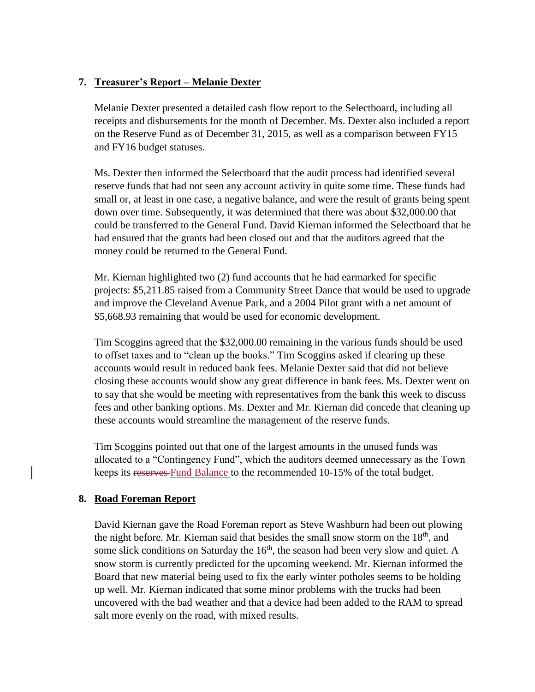# **7. Treasurer's Report – Melanie Dexter**

Melanie Dexter presented a detailed cash flow report to the Selectboard, including all receipts and disbursements for the month of December. Ms. Dexter also included a report on the Reserve Fund as of December 31, 2015, as well as a comparison between FY15 and FY16 budget statuses.

Ms. Dexter then informed the Selectboard that the audit process had identified several reserve funds that had not seen any account activity in quite some time. These funds had small or, at least in one case, a negative balance, and were the result of grants being spent down over time. Subsequently, it was determined that there was about \$32,000.00 that could be transferred to the General Fund. David Kiernan informed the Selectboard that he had ensured that the grants had been closed out and that the auditors agreed that the money could be returned to the General Fund.

Mr. Kiernan highlighted two (2) fund accounts that he had earmarked for specific projects: \$5,211.85 raised from a Community Street Dance that would be used to upgrade and improve the Cleveland Avenue Park, and a 2004 Pilot grant with a net amount of \$5,668.93 remaining that would be used for economic development.

Tim Scoggins agreed that the \$32,000.00 remaining in the various funds should be used to offset taxes and to "clean up the books." Tim Scoggins asked if clearing up these accounts would result in reduced bank fees. Melanie Dexter said that did not believe closing these accounts would show any great difference in bank fees. Ms. Dexter went on to say that she would be meeting with representatives from the bank this week to discuss fees and other banking options. Ms. Dexter and Mr. Kiernan did concede that cleaning up these accounts would streamline the management of the reserve funds.

Tim Scoggins pointed out that one of the largest amounts in the unused funds was allocated to a "Contingency Fund", which the auditors deemed unnecessary as the Town keeps its reserves-Fund Balance to the recommended 10-15% of the total budget.

# **8. Road Foreman Report**

David Kiernan gave the Road Foreman report as Steve Washburn had been out plowing the night before. Mr. Kiernan said that besides the small snow storm on the 18<sup>th</sup>, and some slick conditions on Saturday the 16<sup>th</sup>, the season had been very slow and quiet. A snow storm is currently predicted for the upcoming weekend. Mr. Kiernan informed the Board that new material being used to fix the early winter potholes seems to be holding up well. Mr. Kiernan indicated that some minor problems with the trucks had been uncovered with the bad weather and that a device had been added to the RAM to spread salt more evenly on the road, with mixed results.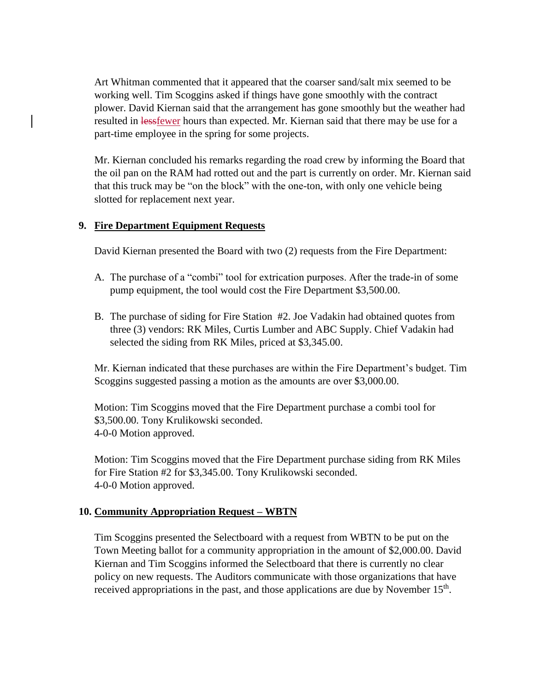Art Whitman commented that it appeared that the coarser sand/salt mix seemed to be working well. Tim Scoggins asked if things have gone smoothly with the contract plower. David Kiernan said that the arrangement has gone smoothly but the weather had resulted in lessfewer hours than expected. Mr. Kiernan said that there may be use for a part-time employee in the spring for some projects.

Mr. Kiernan concluded his remarks regarding the road crew by informing the Board that the oil pan on the RAM had rotted out and the part is currently on order. Mr. Kiernan said that this truck may be "on the block" with the one-ton, with only one vehicle being slotted for replacement next year.

## **9. Fire Department Equipment Requests**

David Kiernan presented the Board with two (2) requests from the Fire Department:

- A. The purchase of a "combi" tool for extrication purposes. After the trade-in of some pump equipment, the tool would cost the Fire Department \$3,500.00.
- B. The purchase of siding for Fire Station #2. Joe Vadakin had obtained quotes from three (3) vendors: RK Miles, Curtis Lumber and ABC Supply. Chief Vadakin had selected the siding from RK Miles, priced at \$3,345.00.

Mr. Kiernan indicated that these purchases are within the Fire Department's budget. Tim Scoggins suggested passing a motion as the amounts are over \$3,000.00.

Motion: Tim Scoggins moved that the Fire Department purchase a combi tool for \$3,500.00. Tony Krulikowski seconded. 4-0-0 Motion approved.

Motion: Tim Scoggins moved that the Fire Department purchase siding from RK Miles for Fire Station #2 for \$3,345.00. Tony Krulikowski seconded. 4-0-0 Motion approved.

#### **10. Community Appropriation Request – WBTN**

Tim Scoggins presented the Selectboard with a request from WBTN to be put on the Town Meeting ballot for a community appropriation in the amount of \$2,000.00. David Kiernan and Tim Scoggins informed the Selectboard that there is currently no clear policy on new requests. The Auditors communicate with those organizations that have received appropriations in the past, and those applications are due by November  $15<sup>th</sup>$ .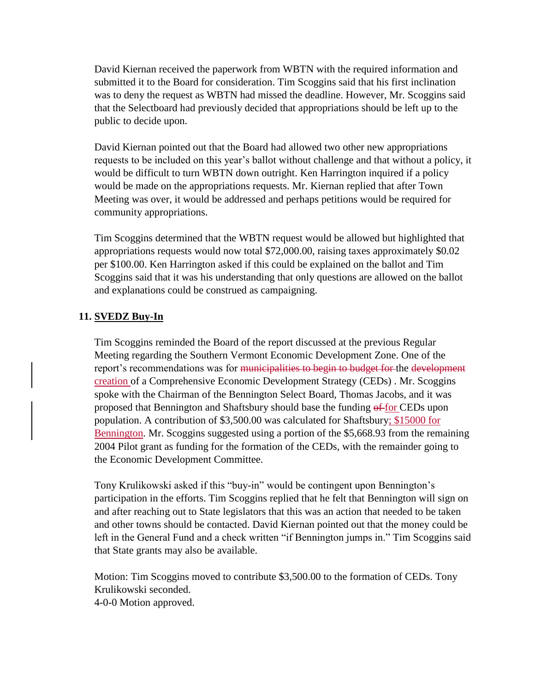David Kiernan received the paperwork from WBTN with the required information and submitted it to the Board for consideration. Tim Scoggins said that his first inclination was to deny the request as WBTN had missed the deadline. However, Mr. Scoggins said that the Selectboard had previously decided that appropriations should be left up to the public to decide upon.

David Kiernan pointed out that the Board had allowed two other new appropriations requests to be included on this year's ballot without challenge and that without a policy, it would be difficult to turn WBTN down outright. Ken Harrington inquired if a policy would be made on the appropriations requests. Mr. Kiernan replied that after Town Meeting was over, it would be addressed and perhaps petitions would be required for community appropriations.

Tim Scoggins determined that the WBTN request would be allowed but highlighted that appropriations requests would now total \$72,000.00, raising taxes approximately \$0.02 per \$100.00. Ken Harrington asked if this could be explained on the ballot and Tim Scoggins said that it was his understanding that only questions are allowed on the ballot and explanations could be construed as campaigning.

# **11. SVEDZ Buy-In**

Tim Scoggins reminded the Board of the report discussed at the previous Regular Meeting regarding the Southern Vermont Economic Development Zone. One of the report's recommendations was for municipalities to begin to budget for the development creation of a Comprehensive Economic Development Strategy (CEDs) . Mr. Scoggins spoke with the Chairman of the Bennington Select Board, Thomas Jacobs, and it was proposed that Bennington and Shaftsbury should base the funding  $\frac{\partial f}{\partial r}$  CEDs upon population. A contribution of \$3,500.00 was calculated for Shaftsbury; \$15000 for Bennington. Mr. Scoggins suggested using a portion of the \$5,668.93 from the remaining 2004 Pilot grant as funding for the formation of the CEDs, with the remainder going to the Economic Development Committee.

Tony Krulikowski asked if this "buy-in" would be contingent upon Bennington's participation in the efforts. Tim Scoggins replied that he felt that Bennington will sign on and after reaching out to State legislators that this was an action that needed to be taken and other towns should be contacted. David Kiernan pointed out that the money could be left in the General Fund and a check written "if Bennington jumps in." Tim Scoggins said that State grants may also be available.

Motion: Tim Scoggins moved to contribute \$3,500.00 to the formation of CEDs. Tony Krulikowski seconded. 4-0-0 Motion approved.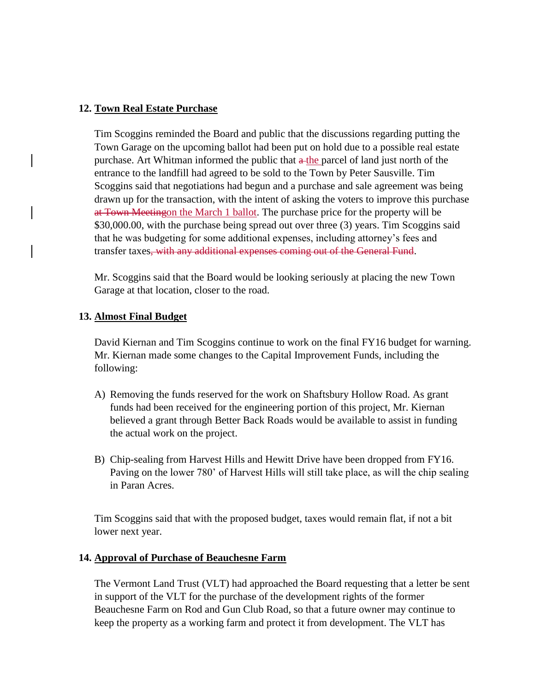## **12. Town Real Estate Purchase**

Tim Scoggins reminded the Board and public that the discussions regarding putting the Town Garage on the upcoming ballot had been put on hold due to a possible real estate purchase. Art Whitman informed the public that  $\alpha$ -the parcel of land just north of the entrance to the landfill had agreed to be sold to the Town by Peter Sausville. Tim Scoggins said that negotiations had begun and a purchase and sale agreement was being drawn up for the transaction, with the intent of asking the voters to improve this purchase at Town Meetingon the March 1 ballot. The purchase price for the property will be \$30,000.00, with the purchase being spread out over three (3) years. Tim Scoggins said that he was budgeting for some additional expenses, including attorney's fees and transfer taxes, with any additional expenses coming out of the General Fund.

Mr. Scoggins said that the Board would be looking seriously at placing the new Town Garage at that location, closer to the road.

## **13. Almost Final Budget**

David Kiernan and Tim Scoggins continue to work on the final FY16 budget for warning. Mr. Kiernan made some changes to the Capital Improvement Funds, including the following:

- A) Removing the funds reserved for the work on Shaftsbury Hollow Road. As grant funds had been received for the engineering portion of this project, Mr. Kiernan believed a grant through Better Back Roads would be available to assist in funding the actual work on the project.
- B) Chip-sealing from Harvest Hills and Hewitt Drive have been dropped from FY16. Paving on the lower 780' of Harvest Hills will still take place, as will the chip sealing in Paran Acres.

Tim Scoggins said that with the proposed budget, taxes would remain flat, if not a bit lower next year.

#### **14. Approval of Purchase of Beauchesne Farm**

The Vermont Land Trust (VLT) had approached the Board requesting that a letter be sent in support of the VLT for the purchase of the development rights of the former Beauchesne Farm on Rod and Gun Club Road, so that a future owner may continue to keep the property as a working farm and protect it from development. The VLT has